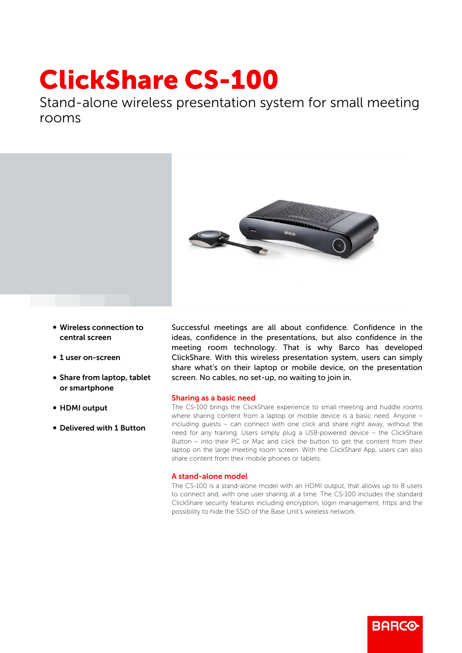## ClickShare CS-100

Stand-alone wireless presentation system for small meeting rooms



- Wireless connection to central screen
- 1 user on-screen
- Share from laptop, tablet or smartphone
- HDMI output
- Delivered with 1 Button

Successful meetings are all about confidence. Confidence in the ideas, confidence in the presentations, but also confidence in the meeting room technology. That is why Barco has developed ClickShare. With this wireless presentation system, users can simply share what's on their laptop or mobile device, on the presentation screen. No cables, no set-up, no waiting to join in.

## Sharing as a basic need

The CS-100 brings the ClickShare experience to small meeting and huddle rooms where sharing content from a laptop or mobile device is a basic need. Anyone – including guests – can connect with one click and share right away, without the need for any training. Users simply plug a USB-powered device – the ClickShare Button – into their PC or Mac and click the button to get the content from their laptop on the large meeting room screen. With the ClickShare App, users can also share content from their mobile phones or tablets.

## A stand-alone model

The CS-100 is a stand-alone model with an HDMI output, that allows up to 8 users to connect and, with one user sharing at a time. The CS-100 includes the standard ClickShare security features including encryption, login management, https and the possibility to hide the SSID of the Base Unit's wireless network.

**RARGO**